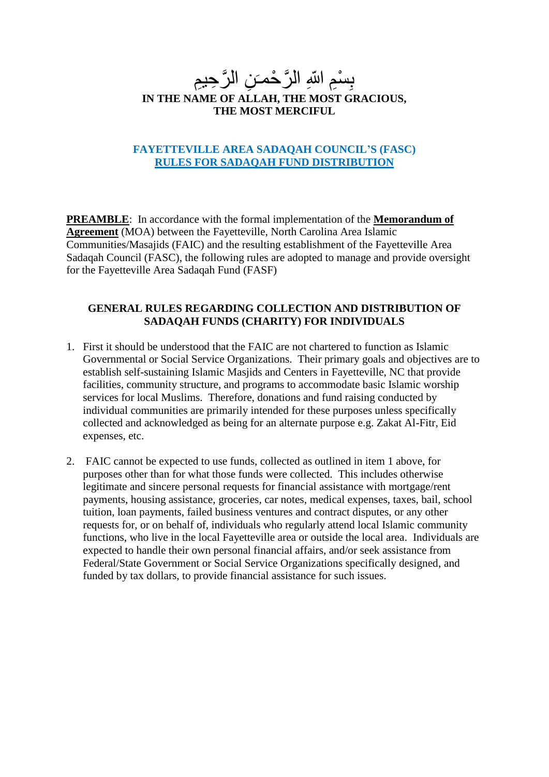# بِسْمِ اللّهِ الرَّ حْمـَنِ الرَّ حِبمِ<br>سَمَسَمَعَ بِسَبِبِ بِبِرِيْرِ مِمَ سَبَب **IN THE NAME OF ALLAH, THE MOST GRACIOUS, THE MOST MERCIFUL**

## **FAYETTEVILLE AREA SADAQAH COUNCIL'S (FASC) RULES FOR SADAQAH FUND DISTRIBUTION**

**PREAMBLE**: In accordance with the formal implementation of the **Memorandum of Agreement** (MOA) between the Fayetteville, North Carolina Area Islamic Communities/Masajids (FAIC) and the resulting establishment of the Fayetteville Area Sadaqah Council (FASC), the following rules are adopted to manage and provide oversight for the Fayetteville Area Sadaqah Fund (FASF)

## **GENERAL RULES REGARDING COLLECTION AND DISTRIBUTION OF SADAQAH FUNDS (CHARITY) FOR INDIVIDUALS**

- 1. First it should be understood that the FAIC are not chartered to function as Islamic Governmental or Social Service Organizations. Their primary goals and objectives are to establish self-sustaining Islamic Masjids and Centers in Fayetteville, NC that provide facilities, community structure, and programs to accommodate basic Islamic worship services for local Muslims. Therefore, donations and fund raising conducted by individual communities are primarily intended for these purposes unless specifically collected and acknowledged as being for an alternate purpose e.g. Zakat Al-Fitr, Eid expenses, etc.
- 2. FAIC cannot be expected to use funds, collected as outlined in item 1 above, for purposes other than for what those funds were collected. This includes otherwise legitimate and sincere personal requests for financial assistance with mortgage/rent payments, housing assistance, groceries, car notes, medical expenses, taxes, bail, school tuition, loan payments, failed business ventures and contract disputes, or any other requests for, or on behalf of, individuals who regularly attend local Islamic community functions, who live in the local Fayetteville area or outside the local area. Individuals are expected to handle their own personal financial affairs, and/or seek assistance from Federal/State Government or Social Service Organizations specifically designed, and funded by tax dollars, to provide financial assistance for such issues.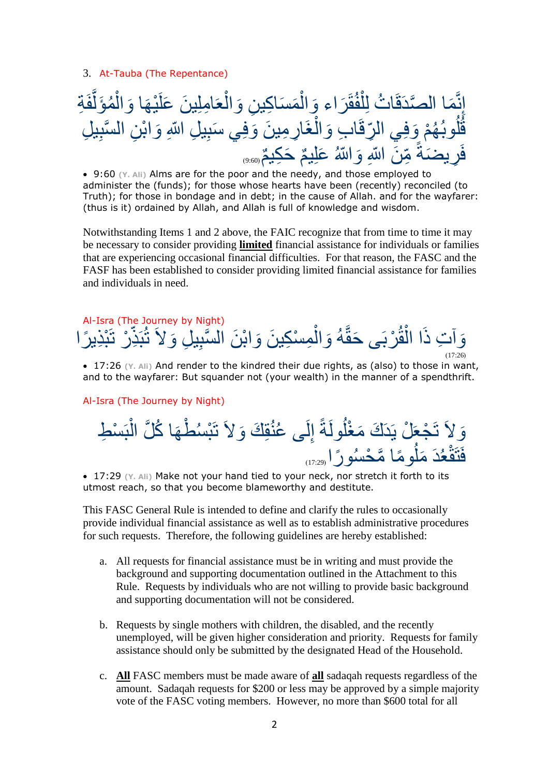3. At-Tauba (The Repentance)



 9:60 **(Y. Ali)** Alms are for the poor and the needy, and those employed to administer the (funds); for those whose hearts have been (recently) reconciled (to Truth); for those in bondage and in debt; in the cause of Allah. and for the wayfarer: (thus is it) ordained by Allah, and Allah is full of knowledge and wisdom.

Notwithstanding Items 1 and 2 above, the FAIC recognize that from time to time it may be necessary to consider providing **limited** financial assistance for individuals or families that are experiencing occasional financial difficulties. For that reason, the FASC and the FASF has been established to consider providing limited financial assistance for families and individuals in need.

#### Al-Isra (The Journey by Night) وَآتِ ذَا الْقُرْبَى حَقَّهُ وَالْمِسْكِينَ وَابْنَ السَّبِيلِ وَلاَ تُبَذِّرْ نَبْذِيرًا ر<br>أ ْس و<br>مم اءِ • دا ْس  $(17:26)$

 17:26 **(Y. Ali)** And render to the kindred their due rights, as (also) to those in want, and to the wayfarer: But squander not (your wealth) in the manner of a spendthrift.

Al-Isra (The Journey by Night)

وَلاَ تَجْعَلْ يَدَكَ مَغْلُولَةً إِلَى عُنُقِكَ وَلاَ تَبْسُطْهَا كُلَّ الْبَسْطِ ْس ر<br>⊔ ر<br>سا ر<br>ک ِب ر<br>ا فَتَقْعُدَ مَلُومًا مَّحْسُورًا (17:29 ر<br>ا ا<br>با

 17:29 **(Y. Ali)** Make not your hand tied to your neck, nor stretch it forth to its utmost reach, so that you become blameworthy and destitute.

This FASC General Rule is intended to define and clarify the rules to occasionally provide individual financial assistance as well as to establish administrative procedures for such requests. Therefore, the following guidelines are hereby established:

- a. All requests for financial assistance must be in writing and must provide the background and supporting documentation outlined in the Attachment to this Rule. Requests by individuals who are not willing to provide basic background and supporting documentation will not be considered.
- b. Requests by single mothers with children, the disabled, and the recently unemployed, will be given higher consideration and priority. Requests for family assistance should only be submitted by the designated Head of the Household.
- c. **All** FASC members must be made aware of **all** sadaqah requests regardless of the amount. Sadaqah requests for \$200 or less may be approved by a simple majority vote of the FASC voting members. However, no more than \$600 total for all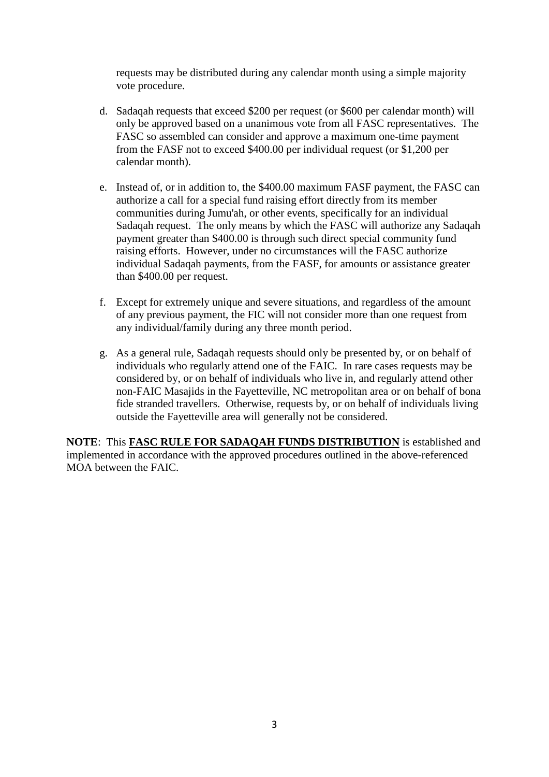requests may be distributed during any calendar month using a simple majority vote procedure.

- d. Sadaqah requests that exceed \$200 per request (or \$600 per calendar month) will only be approved based on a unanimous vote from all FASC representatives. The FASC so assembled can consider and approve a maximum one-time payment from the FASF not to exceed \$400.00 per individual request (or \$1,200 per calendar month).
- e. Instead of, or in addition to, the \$400.00 maximum FASF payment, the FASC can authorize a call for a special fund raising effort directly from its member communities during Jumu'ah, or other events, specifically for an individual Sadaqah request. The only means by which the FASC will authorize any Sadaqah payment greater than \$400.00 is through such direct special community fund raising efforts. However, under no circumstances will the FASC authorize individual Sadaqah payments, from the FASF, for amounts or assistance greater than \$400.00 per request.
- f. Except for extremely unique and severe situations, and regardless of the amount of any previous payment, the FIC will not consider more than one request from any individual/family during any three month period.
- g. As a general rule, Sadaqah requests should only be presented by, or on behalf of individuals who regularly attend one of the FAIC. In rare cases requests may be considered by, or on behalf of individuals who live in, and regularly attend other non-FAIC Masajids in the Fayetteville, NC metropolitan area or on behalf of bona fide stranded travellers. Otherwise, requests by, or on behalf of individuals living outside the Fayetteville area will generally not be considered.

**NOTE**: This **FASC RULE FOR SADAQAH FUNDS DISTRIBUTION** is established and implemented in accordance with the approved procedures outlined in the above-referenced MOA between the FAIC.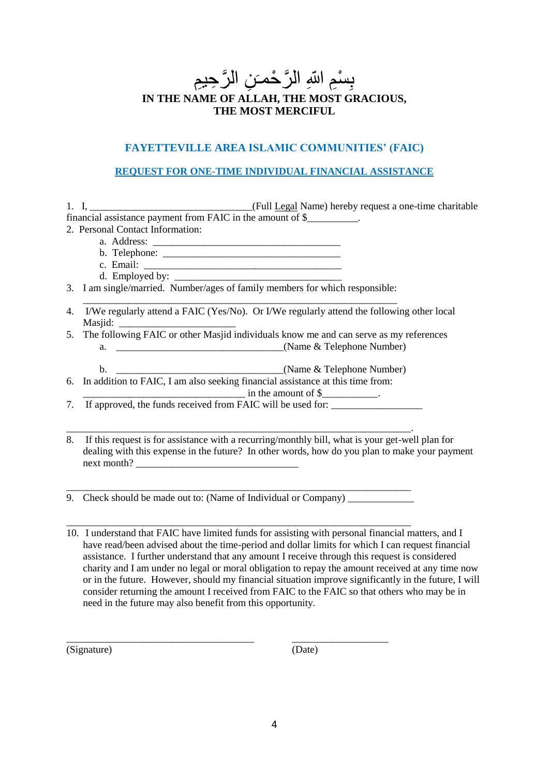# بِسْمِ اللّهِ الرَّ حْمـَنِ الرَّ حِبمِ<br>سَمَسَمَعَ بِسَبِبِ بِبِرِيْرِ مِمَ سَبَب **IN THE NAME OF ALLAH, THE MOST GRACIOUS, THE MOST MERCIFUL**

## **FAYETTEVILLE AREA ISLAMIC COMMUNITIES' (FAIC)**

## **REQUEST FOR ONE-TIME INDIVIDUAL FINANCIAL ASSISTANCE**

|  | 1. I, $\blacksquare$                                        |  | (Full Legal Name) hereby request a one-time charitable |
|--|-------------------------------------------------------------|--|--------------------------------------------------------|
|  | financial assistance payment from FAIC in the amount of \$_ |  |                                                        |
|  |                                                             |  |                                                        |

- 2. Personal Contact Information:
	- a. Address: \_\_\_\_\_\_\_\_\_\_\_\_\_\_\_\_\_\_\_\_\_\_\_\_\_\_\_\_\_\_\_\_\_\_\_\_\_
	- b. Telephone: \_\_\_\_\_\_\_\_\_\_\_\_\_\_\_\_\_\_\_\_\_\_\_\_\_\_\_\_\_\_\_\_\_\_\_
	- c. Email: d. Employed by:
- 3. I am single/married. Number/ages of family members for which responsible:
- \_\_\_\_\_\_\_\_\_\_\_\_\_\_\_\_\_\_\_\_\_\_\_\_\_\_\_\_\_\_\_\_\_\_\_\_\_\_\_\_\_\_\_\_\_\_\_\_\_\_\_\_\_\_\_\_\_\_\_\_\_\_ 4. I/We regularly attend a FAIC (Yes/No). Or I/We regularly attend the following other local Masiid:
- 5. The following FAIC or other Masjid individuals know me and can serve as my references a.  $\Box$  (Name & Telephone Number)
	- b. \_\_\_\_\_\_\_\_\_\_\_\_\_\_\_\_\_\_\_\_\_\_\_\_\_\_\_\_\_\_\_\_\_(Name & Telephone Number)
- 6. In addition to FAIC, I am also seeking financial assistance at this time from:

 $\Box$  in the amount of  $\Diamond$ 

7. If approved, the funds received from FAIC will be used for:

\_\_\_\_\_\_\_\_\_\_\_\_\_\_\_\_\_\_\_\_\_\_\_\_\_\_\_\_\_\_\_\_\_\_\_\_\_\_\_\_\_\_\_\_\_\_\_\_\_\_\_\_\_\_\_\_\_\_\_\_\_\_\_\_\_\_\_\_.

8. If this request is for assistance with a recurring/monthly bill, what is your get-well plan for dealing with this expense in the future? In other words, how do you plan to make your payment next month?

9. Check should be made out to: (Name of Individual or Company) \_\_\_\_\_\_\_\_\_\_\_\_\_\_\_\_

\_\_\_\_\_\_\_\_\_\_\_\_\_\_\_\_\_\_\_\_\_\_\_\_\_\_\_\_\_\_\_\_\_\_\_\_\_\_\_\_\_\_\_\_\_\_\_\_\_\_\_\_\_\_\_\_\_\_\_\_\_\_\_\_\_\_\_\_

\_\_\_\_\_\_\_\_\_\_\_\_\_\_\_\_\_\_\_\_\_\_\_\_\_\_\_\_\_\_\_\_\_\_\_\_\_\_\_\_\_\_\_\_\_\_\_\_\_\_\_\_\_\_\_\_\_\_\_\_\_\_\_\_\_\_\_\_

10. I understand that FAIC have limited funds for assisting with personal financial matters, and I have read/been advised about the time-period and dollar limits for which I can request financial assistance. I further understand that any amount I receive through this request is considered charity and I am under no legal or moral obligation to repay the amount received at any time now or in the future. However, should my financial situation improve significantly in the future, I will consider returning the amount I received from FAIC to the FAIC so that others who may be in need in the future may also benefit from this opportunity.

(Signature) (Date)

\_\_\_\_\_\_\_\_\_\_\_\_\_\_\_\_\_\_\_\_\_\_\_\_\_\_\_\_\_\_\_\_\_\_\_\_\_ \_\_\_\_\_\_\_\_\_\_\_\_\_\_\_\_\_\_\_